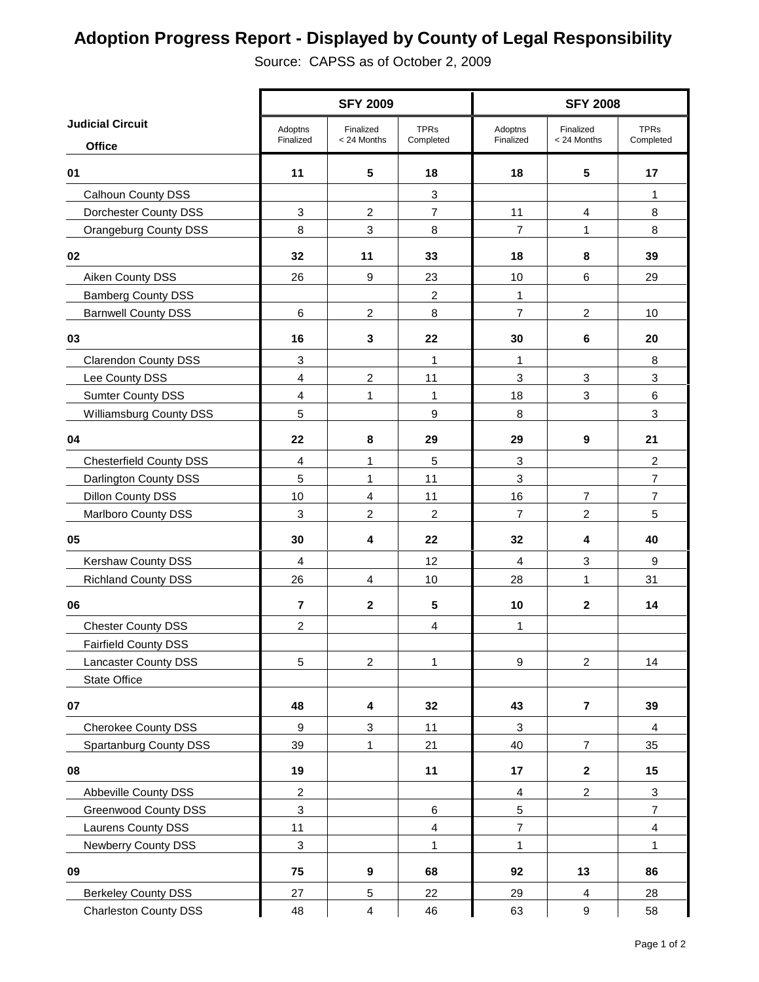## **Adoption Progress Report - Displayed by County of Legal Responsibility**

Source: CAPSS as of October 2, 2009

|                                | <b>SFY 2009</b>         |                         |                | <b>SFY 2008</b>  |                         |                          |  |
|--------------------------------|-------------------------|-------------------------|----------------|------------------|-------------------------|--------------------------|--|
| <b>Judicial Circuit</b>        | Adoptns                 | Finalized               | <b>TPRs</b>    | Adoptns          | Finalized               | <b>TPRs</b>              |  |
| <b>Office</b>                  | Finalized               | < 24 Months             | Completed      | Finalized        | < 24 Months             | Completed                |  |
| 01                             | 11                      | $5\phantom{.0}$         | 18             | 18               | $5\phantom{.0}$         | 17                       |  |
| Calhoun County DSS             |                         |                         | 3              |                  |                         | 1                        |  |
| Dorchester County DSS          | 3                       | $\overline{c}$          | $\overline{7}$ | 11               | 4                       | 8                        |  |
| Orangeburg County DSS          | 8                       | 3                       | 8              | 7                | 1                       | 8                        |  |
| 02                             | 32                      | 11                      | 33             | 18               | $\pmb{8}$               | 39                       |  |
| Aiken County DSS               | 26                      | 9                       | 23             | 10               | $\,6$                   | 29                       |  |
| <b>Bamberg County DSS</b>      |                         |                         | $\overline{c}$ | 1                |                         |                          |  |
| <b>Barnwell County DSS</b>     | $\,6$                   | $\boldsymbol{2}$        | 8              | $\overline{7}$   | $\sqrt{2}$              | 10                       |  |
| 03                             | 16                      | $\mathbf{3}$            | 22             | 30               | 6                       | 20                       |  |
| <b>Clarendon County DSS</b>    | 3                       |                         | 1              | 1                |                         | 8                        |  |
| Lee County DSS                 | 4                       | $\overline{c}$          | 11             | 3                | $\sqrt{3}$              | $\sqrt{3}$               |  |
| <b>Sumter County DSS</b>       | $\overline{\mathbf{4}}$ | 1                       | 1              | 18               | 3                       | 6                        |  |
| <b>Williamsburg County DSS</b> | 5                       |                         | 9              | 8                |                         | 3                        |  |
| 04                             | 22                      | 8                       | 29             | 29               | $\boldsymbol{9}$        | 21                       |  |
| <b>Chesterfield County DSS</b> | 4                       | $\mathbf 1$             | 5              | 3                |                         | $\boldsymbol{2}$         |  |
| Darlington County DSS          | 5                       | $\mathbf{1}$            | 11             | 3                |                         | $\overline{7}$           |  |
| <b>Dillon County DSS</b>       | 10                      | $\overline{4}$          | 11             | 16               | $\overline{7}$          | $\overline{7}$           |  |
| <b>Marlboro County DSS</b>     | 3                       | $\overline{c}$          | 2              | 7                | $\overline{c}$          | $\overline{5}$           |  |
| 05                             | 30                      | $\overline{\mathbf{4}}$ | 22             | 32               | 4                       | 40                       |  |
| Kershaw County DSS             | 4                       |                         | 12             | 4                | $\mathbf{3}$            | 9                        |  |
| <b>Richland County DSS</b>     | 26                      | $\overline{\mathbf{4}}$ | $10$           | 28               | 1                       | 31                       |  |
| 06                             | $\overline{7}$          | $\boldsymbol{2}$        | 5              | 10               | $\mathbf{2}$            | 14                       |  |
| <b>Chester County DSS</b>      | $\overline{c}$          |                         | 4              | 1                |                         |                          |  |
| Fairfield County DSS           |                         |                         |                |                  |                         |                          |  |
| Lancaster County DSS           | $\sqrt{5}$              | $\overline{c}$          | $\mathbf{1}$   | $\boldsymbol{9}$ | $\overline{2}$          | 14                       |  |
| <b>State Office</b>            |                         |                         |                |                  |                         |                          |  |
| 07                             | 48                      | $\overline{\mathbf{4}}$ | 32             | 43               | $\overline{7}$          | 39                       |  |
| <b>Cherokee County DSS</b>     | $\boldsymbol{9}$        | $\sqrt{3}$              | 11             | $\sqrt{3}$       |                         | $\overline{4}$           |  |
| Spartanburg County DSS         | 39                      | 1                       | 21             | 40               | $\overline{7}$          | 35                       |  |
| 08                             | 19                      |                         | 11             | 17               | $\overline{2}$          | 15                       |  |
| Abbeville County DSS           | $\overline{c}$          |                         |                | 4                | $\boldsymbol{2}$        | 3                        |  |
| <b>Greenwood County DSS</b>    | 3                       |                         | 6              | $\mathbf 5$      |                         | $\overline{\mathcal{I}}$ |  |
| Laurens County DSS             | 11                      |                         | $\overline{4}$ | $\overline{7}$   |                         | $\overline{\mathbf{4}}$  |  |
| Newberry County DSS            | 3                       |                         | 1              | 1                |                         | 1                        |  |
| 09                             | 75                      | 9                       | 68             | 92               | 13                      | 86                       |  |
| <b>Berkeley County DSS</b>     | 27                      | $\sqrt{5}$              | 22             | 29               | $\overline{\mathbf{4}}$ | 28                       |  |
| <b>Charleston County DSS</b>   | 48                      | $\overline{4}$          | 46             | 63               | $\boldsymbol{9}$        | 58                       |  |